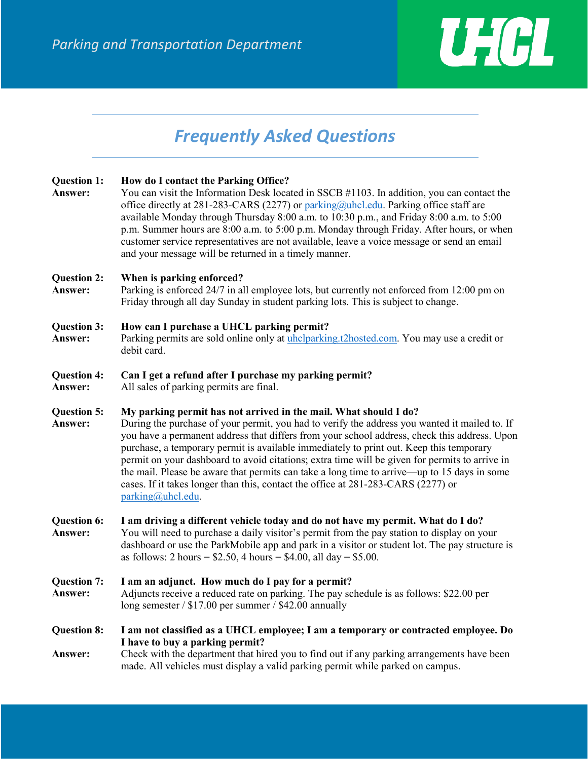

# *Frequently Asked Questions*

| <b>Question 1:</b><br>Answer:        | How do I contact the Parking Office?<br>You can visit the Information Desk located in SSCB #1103. In addition, you can contact the<br>office directly at 281-283-CARS (2277) or parking@uhcl.edu. Parking office staff are<br>available Monday through Thursday 8:00 a.m. to 10:30 p.m., and Friday 8:00 a.m. to 5:00<br>p.m. Summer hours are 8:00 a.m. to 5:00 p.m. Monday through Friday. After hours, or when<br>customer service representatives are not available, leave a voice message or send an email<br>and your message will be returned in a timely manner.                                                                                                |
|--------------------------------------|-------------------------------------------------------------------------------------------------------------------------------------------------------------------------------------------------------------------------------------------------------------------------------------------------------------------------------------------------------------------------------------------------------------------------------------------------------------------------------------------------------------------------------------------------------------------------------------------------------------------------------------------------------------------------|
| <b>Question 2:</b><br>Answer:        | When is parking enforced?<br>Parking is enforced 24/7 in all employee lots, but currently not enforced from 12:00 pm on<br>Friday through all day Sunday in student parking lots. This is subject to change.                                                                                                                                                                                                                                                                                                                                                                                                                                                            |
| Question 3:<br>Answer:               | How can I purchase a UHCL parking permit?<br>Parking permits are sold online only at uhclparking.t2hosted.com. You may use a credit or<br>debit card.                                                                                                                                                                                                                                                                                                                                                                                                                                                                                                                   |
| <b>Question 4:</b><br><b>Answer:</b> | Can I get a refund after I purchase my parking permit?<br>All sales of parking permits are final.                                                                                                                                                                                                                                                                                                                                                                                                                                                                                                                                                                       |
| <b>Question 5:</b><br>Answer:        | My parking permit has not arrived in the mail. What should I do?<br>During the purchase of your permit, you had to verify the address you wanted it mailed to. If<br>you have a permanent address that differs from your school address, check this address. Upon<br>purchase, a temporary permit is available immediately to print out. Keep this temporary<br>permit on your dashboard to avoid citations; extra time will be given for permits to arrive in<br>the mail. Please be aware that permits can take a long time to arrive—up to 15 days in some<br>cases. If it takes longer than this, contact the office at 281-283-CARS (2277) or<br>parking@uhcl.edu. |
| <b>Question 6:</b><br>Answer:        | I am driving a different vehicle today and do not have my permit. What do I do?<br>You will need to purchase a daily visitor's permit from the pay station to display on your<br>dashboard or use the ParkMobile app and park in a visitor or student lot. The pay structure is<br>as follows: 2 hours = $$2.50$ , 4 hours = $$4.00$ , all day = $$5.00$ .                                                                                                                                                                                                                                                                                                              |
| <b>Question 7:</b><br>Answer:        | I am an adjunct. How much do I pay for a permit?<br>Adjuncts receive a reduced rate on parking. The pay schedule is as follows: \$22.00 per<br>long semester $/$ \$17.00 per summer $/$ \$42.00 annually                                                                                                                                                                                                                                                                                                                                                                                                                                                                |
| <b>Question 8:</b><br><b>Answer:</b> | I am not classified as a UHCL employee; I am a temporary or contracted employee. Do<br>I have to buy a parking permit?<br>Check with the department that hired you to find out if any parking arrangements have been<br>made. All vehicles must display a valid parking permit while parked on campus.                                                                                                                                                                                                                                                                                                                                                                  |